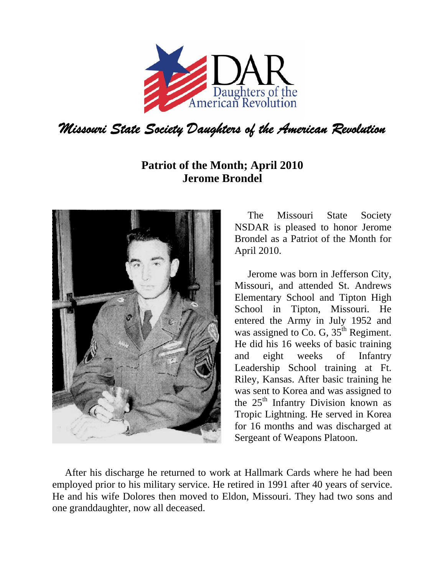

## **Patriot of the Month; April 2010 Jerome Brondel**



The Missouri State Society NSDAR is pleased to honor Jerome Brondel as a Patriot of the Month for April 2010.

Jerome was born in Jefferson City, Missouri, and attended St. Andrews Elementary School and Tipton High School in Tipton, Missouri. He entered the Army in July 1952 and was assigned to Co. G,  $35<sup>th</sup>$  Regiment. He did his 16 weeks of basic training and eight weeks of Infantry Leadership School training at Ft. Riley, Kansas. After basic training he was sent to Korea and was assigned to the  $25<sup>th</sup>$  Infantry Division known as Tropic Lightning. He served in Korea for 16 months and was discharged at Sergeant of Weapons Platoon.

 After his discharge he returned to work at Hallmark Cards where he had been employed prior to his military service. He retired in 1991 after 40 years of service. He and his wife Dolores then moved to Eldon, Missouri. They had two sons and one granddaughter, now all deceased.